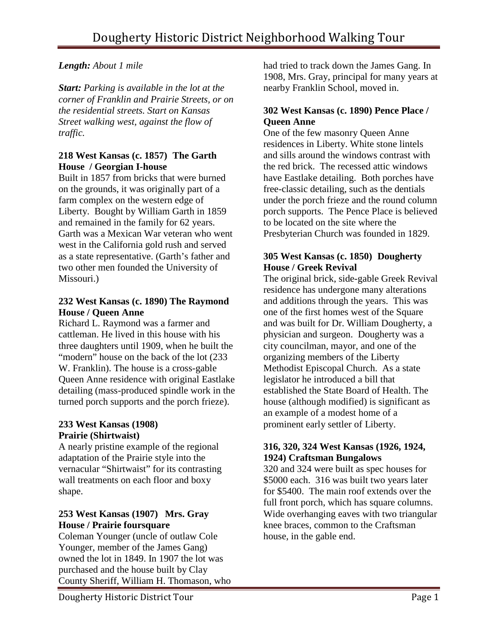# *Length: About 1 mile*

*Start: Parking is available in the lot at the corner of Franklin and Prairie Streets, or on the residential streets. Start on Kansas Street walking west, against the flow of traffic.* 

## **218 West Kansas (c. 1857) The Garth House / Georgian I-house**

Built in 1857 from bricks that were burned on the grounds, it was originally part of a farm complex on the western edge of Liberty. Bought by William Garth in 1859 and remained in the family for 62 years. Garth was a Mexican War veteran who went west in the California gold rush and served as a state representative. (Garth's father and two other men founded the University of Missouri.)

#### **232 West Kansas (c. 1890) The Raymond House / Queen Anne**

Richard L. Raymond was a farmer and cattleman. He lived in this house with his three daughters until 1909, when he built the "modern" house on the back of the lot  $(233)$ W. Franklin). The house is a cross-gable Queen Anne residence with original Eastlake detailing (mass-produced spindle work in the turned porch supports and the porch frieze).

#### **233 West Kansas (1908) Prairie (Shirtwaist)**

A nearly pristine example of the regional adaptation of the Prairie style into the vernacular "Shirtwaist" for its contrasting wall treatments on each floor and boxy shape.

# **253 West Kansas (1907) Mrs. Gray House / Prairie foursquare**

Coleman Younger (uncle of outlaw Cole Younger, member of the James Gang) owned the lot in 1849. In 1907 the lot was purchased and the house built by Clay County Sheriff, William H. Thomason, who had tried to track down the James Gang. In 1908, Mrs. Gray, principal for many years at nearby Franklin School, moved in.

## **302 West Kansas (c. 1890) Pence Place / Queen Anne**

One of the few masonry Queen Anne residences in Liberty. White stone lintels and sills around the windows contrast with the red brick. The recessed attic windows have Eastlake detailing. Both porches have free-classic detailing, such as the dentials under the porch frieze and the round column porch supports. The Pence Place is believed to be located on the site where the Presbyterian Church was founded in 1829.

# **305 West Kansas (c. 1850) Dougherty House / Greek Revival**

The original brick, side-gable Greek Revival residence has undergone many alterations and additions through the years. This was one of the first homes west of the Square and was built for Dr. William Dougherty, a physician and surgeon. Dougherty was a city councilman, mayor, and one of the organizing members of the Liberty Methodist Episcopal Church. As a state legislator he introduced a bill that established the State Board of Health. The house (although modified) is significant as an example of a modest home of a prominent early settler of Liberty.

## **316, 320, 324 West Kansas (1926, 1924, 1924) Craftsman Bungalows**

320 and 324 were built as spec houses for \$5000 each. 316 was built two years later for \$5400. The main roof extends over the full front porch, which has square columns. Wide overhanging eaves with two triangular knee braces, common to the Craftsman house, in the gable end.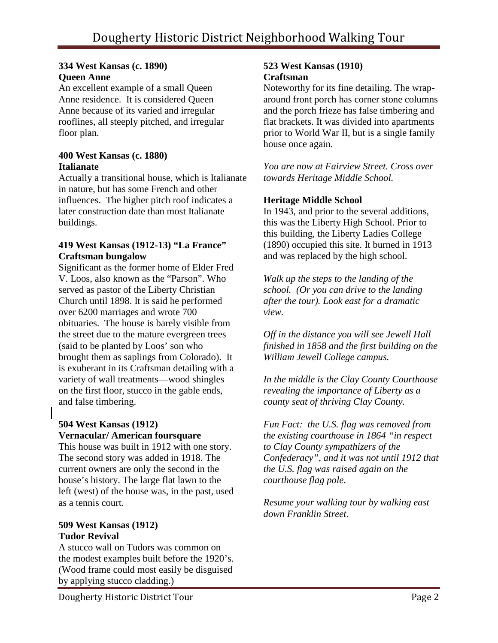#### **334 West Kansas (c. 1890) Queen Anne**

An excellent example of a small Queen Anne residence. It is considered Queen Anne because of its varied and irregular rooflines, all steeply pitched, and irregular floor plan.

#### **400 West Kansas (c. 1880) Italianate**

Actually a transitional house, which is Italianate in nature, but has some French and other influences. The higher pitch roof indicates a later construction date than most Italianate buildings.

#### **419 West Kansas (1912-13) "La France" Craftsman bungalow**

Significant as the former home of Elder Fred V. Loos, also known as the "Parson". Who served as pastor of the Liberty Christian Church until 1898. It is said he performed over 6200 marriages and wrote 700 obituaries. The house is barely visible from the street due to the mature evergreen trees (said to be planted by Loos' son who brought them as saplings from Colorado). It is exuberant in its Craftsman detailing with a variety of wall treatments—wood shingles on the first floor, stucco in the gable ends, and false timbering.

## **504 West Kansas (1912) Vernacular/ American foursquare**

This house was built in 1912 with one story. The second story was added in 1918. The current owners are only the second in the house's history. The large flat lawn to the left (west) of the house was, in the past, used as a tennis court.

## **509 West Kansas (1912) Tudor Revival**

A stucco wall on Tudors was common on the modest examples built before the 1920's. (Wood frame could most easily be disguised by applying stucco cladding.)

#### **523 West Kansas (1910) Craftsman**

Noteworthy for its fine detailing. The wraparound front porch has corner stone columns and the porch frieze has false timbering and flat brackets. It was divided into apartments prior to World War II, but is a single family house once again.

*You are now at Fairview Street. Cross over towards Heritage Middle School.*

## **Heritage Middle School**

In 1943, and prior to the several additions, this was the Liberty High School. Prior to this building, the Liberty Ladies College (1890) occupied this site. It burned in 1913 and was replaced by the high school.

*Walk up the steps to the landing of the school. (Or you can drive to the landing after the tour). Look east for a dramatic view.* 

*Off in the distance you will see Jewell Hall finished in 1858 and the first building on the William Jewell College campus.* 

*In the middle is the Clay County Courthouse revealing the importance of Liberty as a county seat of thriving Clay County.* 

*Fun Fact: the U.S. flag was removed from the existing courthouse in 1864 "in respect to Clay County sympathizers of the Confederacy", and it was not until 1912 that the U.S. flag was raised again on the courthouse flag pole*.

*Resume your walking tour by walking east down Franklin Street*.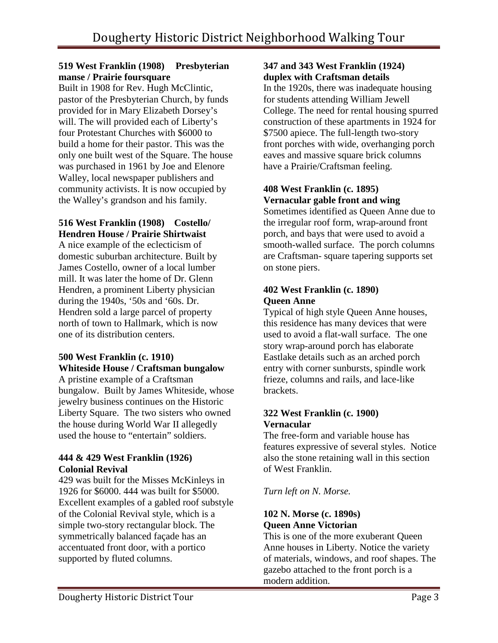## **519 West Franklin (1908) Presbyterian manse / Prairie foursquare**

Built in 1908 for Rev. Hugh McClintic, pastor of the Presbyterian Church, by funds provided for in Mary Elizabeth Dorsey's will. The will provided each of Liberty's four Protestant Churches with \$6000 to build a home for their pastor. This was the only one built west of the Square. The house was purchased in 1961 by Joe and Elenore Walley, local newspaper publishers and community activists. It is now occupied by the Walley's grandson and his family.

## **516 West Franklin (1908) Costello/ Hendren House / Prairie Shirtwaist**

A nice example of the eclecticism of domestic suburban architecture. Built by James Costello, owner of a local lumber mill. It was later the home of Dr. Glenn Hendren, a prominent Liberty physician during the 1940s, '50s and '60s. Dr. Hendren sold a large parcel of property north of town to Hallmark, which is now one of its distribution centers.

## **500 West Franklin (c. 1910) Whiteside House / Craftsman bungalow**

A pristine example of a Craftsman bungalow. Built by James Whiteside, whose jewelry business continues on the Historic Liberty Square. The two sisters who owned the house during World War II allegedly used the house to "entertain" soldiers.

## **444 & 429 West Franklin (1926) Colonial Revival**

429 was built for the Misses McKinleys in 1926 for \$6000. 444 was built for \$5000. Excellent examples of a gabled roof substyle of the Colonial Revival style, which is a simple two-story rectangular block. The symmetrically balanced façade has an accentuated front door, with a portico supported by fluted columns.

## **347 and 343 West Franklin (1924) duplex with Craftsman details**

In the 1920s, there was inadequate housing for students attending William Jewell College. The need for rental housing spurred construction of these apartments in 1924 for \$7500 apiece. The full-length two-story front porches with wide, overhanging porch eaves and massive square brick columns have a Prairie/Craftsman feeling.

# **408 West Franklin (c. 1895) Vernacular gable front and wing**

Sometimes identified as Queen Anne due to the irregular roof form, wrap-around front porch, and bays that were used to avoid a smooth-walled surface. The porch columns are Craftsman- square tapering supports set on stone piers.

## **402 West Franklin (c. 1890) Queen Anne**

Typical of high style Queen Anne houses, this residence has many devices that were used to avoid a flat-wall surface. The one story wrap-around porch has elaborate Eastlake details such as an arched porch entry with corner sunbursts, spindle work frieze, columns and rails, and lace-like brackets.

## **322 West Franklin (c. 1900) Vernacular**

The free-form and variable house has features expressive of several styles. Notice also the stone retaining wall in this section of West Franklin.

*Turn left on N. Morse.* 

# **102 N. Morse (c. 1890s) Queen Anne Victorian**

This is one of the more exuberant Queen Anne houses in Liberty. Notice the variety of materials, windows, and roof shapes. The gazebo attached to the front porch is a modern addition.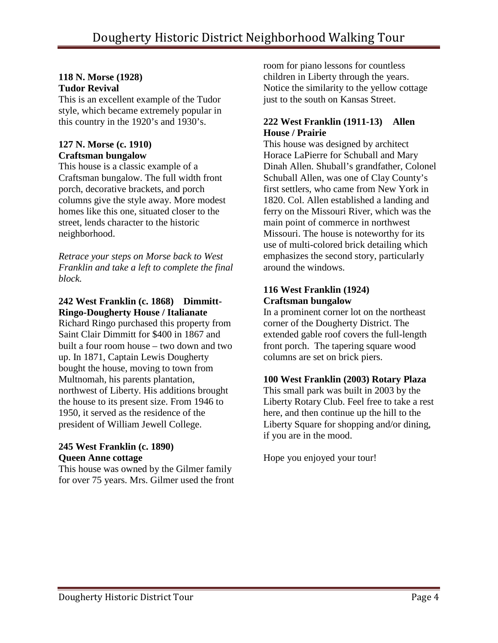#### **118 N. Morse (1928) Tudor Revival**

This is an excellent example of the Tudor style, which became extremely popular in this country in the 1920's and 1930's.

#### **127 N. Morse (c. 1910) Craftsman bungalow**

This house is a classic example of a Craftsman bungalow. The full width front porch, decorative brackets, and porch columns give the style away. More modest homes like this one, situated closer to the street, lends character to the historic neighborhood.

*Retrace your steps on Morse back to West Franklin and take a left to complete the final block.*

# **242 West Franklin (c. 1868) Dimmitt-Ringo-Dougherty House / Italianate**

Richard Ringo purchased this property from Saint Clair Dimmitt for \$400 in 1867 and built a four room house – two down and two up. In 1871, Captain Lewis Dougherty bought the house, moving to town from Multnomah, his parents plantation, northwest of Liberty. His additions brought the house to its present size. From 1946 to 1950, it served as the residence of the president of William Jewell College.

#### **245 West Franklin (c. 1890) Queen Anne cottage**

This house was owned by the Gilmer family for over 75 years. Mrs. Gilmer used the front

room for piano lessons for countless children in Liberty through the years. Notice the similarity to the yellow cottage just to the south on Kansas Street.

## **222 West Franklin (1911-13) Allen House / Prairie**

This house was designed by architect Horace LaPierre for Schuball and Mary Dinah Allen. Shuball's grandfather, Colonel Schuball Allen, was one of Clay County's first settlers, who came from New York in 1820. Col. Allen established a landing and ferry on the Missouri River, which was the main point of commerce in northwest Missouri. The house is noteworthy for its use of multi-colored brick detailing which emphasizes the second story, particularly around the windows.

## **116 West Franklin (1924) Craftsman bungalow**

In a prominent corner lot on the northeast corner of the Dougherty District. The extended gable roof covers the full-length front porch. The tapering square wood columns are set on brick piers.

# **100 West Franklin (2003) Rotary Plaza**

This small park was built in 2003 by the Liberty Rotary Club. Feel free to take a rest here, and then continue up the hill to the Liberty Square for shopping and/or dining, if you are in the mood.

Hope you enjoyed your tour!